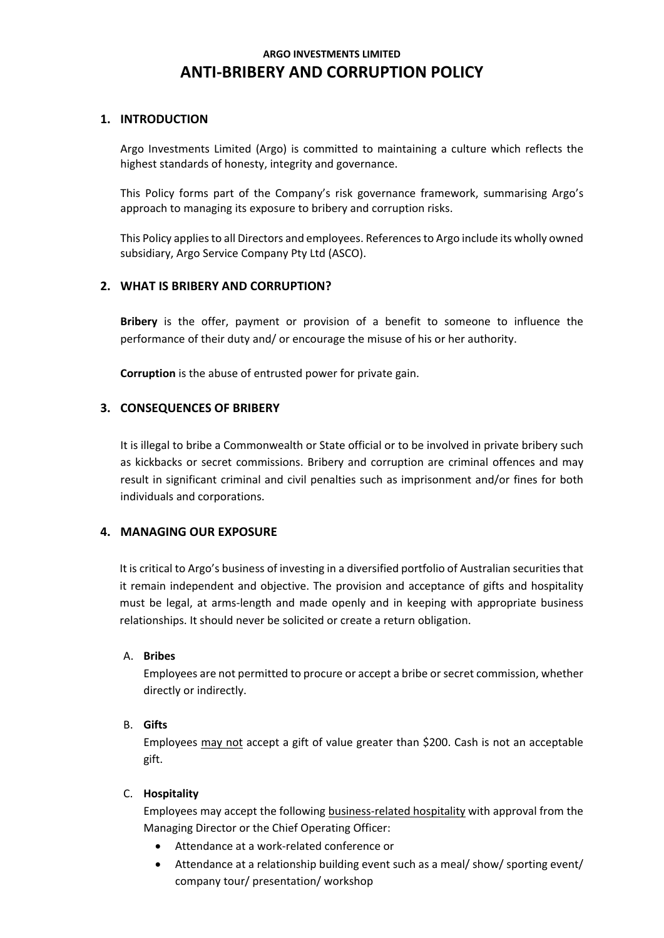# **ARGO INVESTMENTS LIMITED ANTI-BRIBERY AND CORRUPTION POLICY**

## **1. INTRODUCTION**

Argo Investments Limited (Argo) is committed to maintaining a culture which reflects the highest standards of honesty, integrity and governance.

This Policy forms part of the Company's risk governance framework, summarising Argo's approach to managing its exposure to bribery and corruption risks.

This Policy applies to all Directors and employees. References to Argo include its wholly owned subsidiary, Argo Service Company Pty Ltd (ASCO).

# **2. WHAT IS BRIBERY AND CORRUPTION?**

**Bribery** is the offer, payment or provision of a benefit to someone to influence the performance of their duty and/ or encourage the misuse of his or her authority.

**Corruption** is the abuse of entrusted power for private gain.

## **3. CONSEQUENCES OF BRIBERY**

It is illegal to bribe a Commonwealth or State official or to be involved in private bribery such as kickbacks or secret commissions. Bribery and corruption are criminal offences and may result in significant criminal and civil penalties such as imprisonment and/or fines for both individuals and corporations.

#### **4. MANAGING OUR EXPOSURE**

It is critical to Argo's business of investing in a diversified portfolio of Australian securities that it remain independent and objective. The provision and acceptance of gifts and hospitality must be legal, at arms-length and made openly and in keeping with appropriate business relationships. It should never be solicited or create a return obligation.

#### A. **Bribes**

Employees are not permitted to procure or accept a bribe or secret commission, whether directly or indirectly.

#### B. **Gifts**

Employees may not accept a gift of value greater than \$200. Cash is not an acceptable gift.

#### C. **Hospitality**

Employees may accept the following business-related hospitality with approval from the Managing Director or the Chief Operating Officer:

- Attendance at a work-related conference or
- Attendance at a relationship building event such as a meal/ show/ sporting event/ company tour/ presentation/ workshop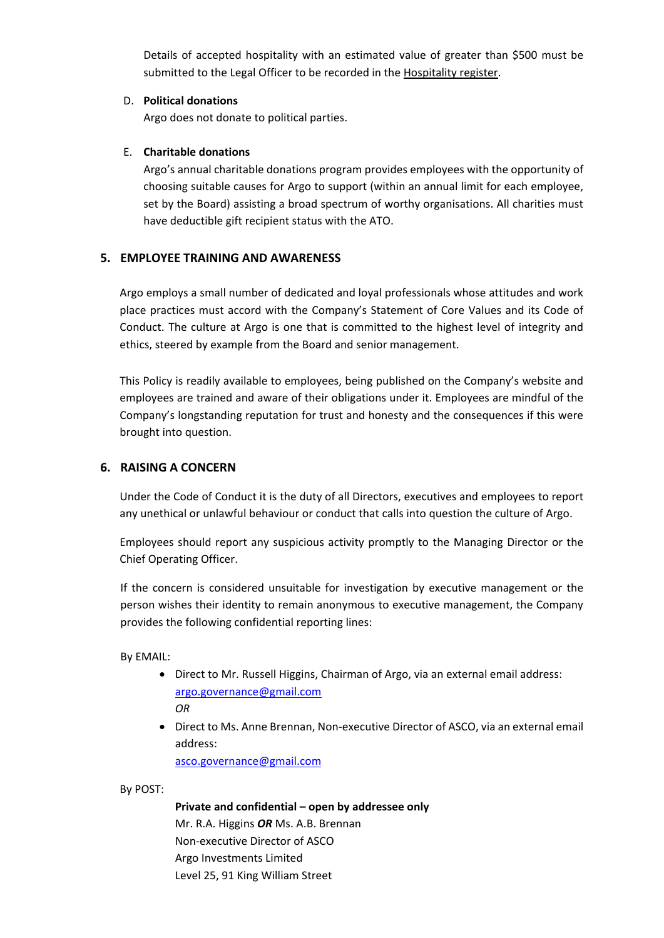Details of accepted hospitality with an estimated value of greater than \$500 must be submitted to the Legal Officer to be recorded in the Hospitality register.

## D. **Political donations**

Argo does not donate to political parties.

## E. **Charitable donations**

Argo's annual charitable donations program provides employees with the opportunity of choosing suitable causes for Argo to support (within an annual limit for each employee, set by the Board) assisting a broad spectrum of worthy organisations. All charities must have deductible gift recipient status with the ATO.

# **5. EMPLOYEE TRAINING AND AWARENESS**

Argo employs a small number of dedicated and loyal professionals whose attitudes and work place practices must accord with the Company's Statement of Core Values and its Code of Conduct. The culture at Argo is one that is committed to the highest level of integrity and ethics, steered by example from the Board and senior management.

This Policy is readily available to employees, being published on the Company's website and employees are trained and aware of their obligations under it. Employees are mindful of the Company's longstanding reputation for trust and honesty and the consequences if this were brought into question.

# **6. RAISING A CONCERN**

Under the Code of Conduct it is the duty of all Directors, executives and employees to report any unethical or unlawful behaviour or conduct that calls into question the culture of Argo.

Employees should report any suspicious activity promptly to the Managing Director or the Chief Operating Officer.

If the concern is considered unsuitable for investigation by executive management or the person wishes their identity to remain anonymous to executive management, the Company provides the following confidential reporting lines:

By EMAIL:

- Direct to Mr. Russell Higgins, Chairman of Argo, via an external email address: [argo.governance@gmail.com](mailto:argo.governance@gmail.com) *OR*
- Direct to Ms. Anne Brennan, Non-executive Director of ASCO, via an external email address:

asco.governance@gmail.com

By POST:

**Private and confidential – open by addressee only** Mr. R.A. Higgins *OR* Ms. A.B. Brennan Non-executive Director of ASCO Argo Investments Limited Level 25, 91 King William Street